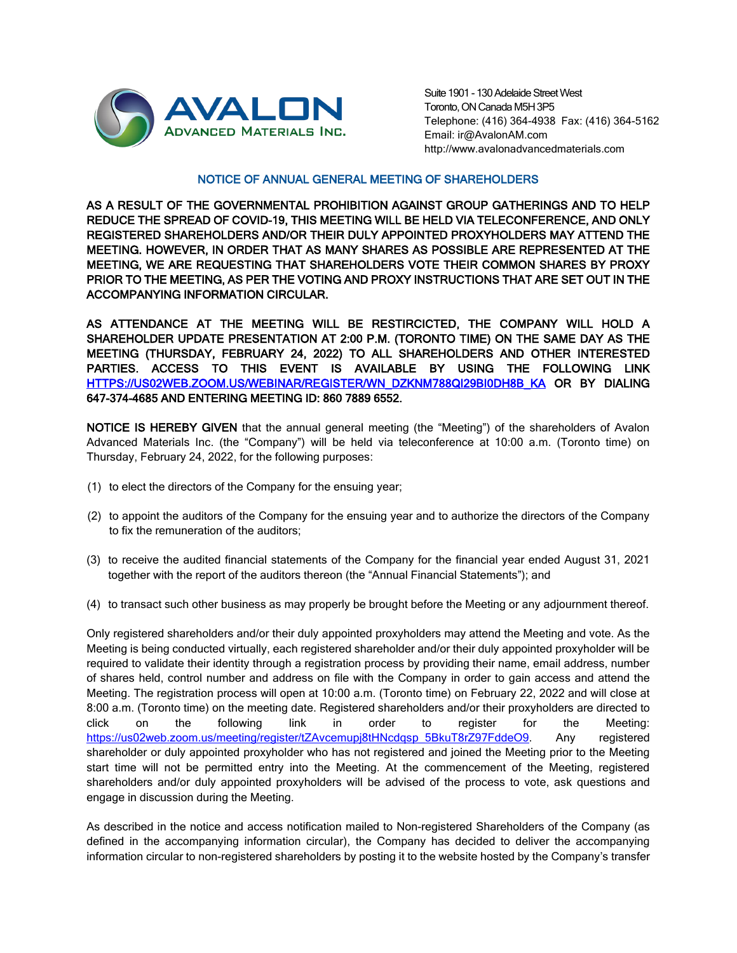

Suite 1901 - 130 Adelaide Street West Toronto, ON Canada M5H 3P5 Telephone: (416) 364-4938 Fax: (416) 364-5162 Email: ir@AvalonAM.com http://www.avalonadvancedmaterials.com

## NOTICE OF ANNUAL GENERAL MEETING OF SHAREHOLDERS

AS A RESULT OF THE GOVERNMENTAL PROHIBITION AGAINST GROUP GATHERINGS AND TO HELP REDUCE THE SPREAD OF COVID-19, THIS MEETING WILL BE HELD VIA TELECONFERENCE, AND ONLY REGISTERED SHAREHOLDERS AND/OR THEIR DULY APPOINTED PROXYHOLDERS MAY ATTEND THE MEETING. HOWEVER, IN ORDER THAT AS MANY SHARES AS POSSIBLE ARE REPRESENTED AT THE MEETING, WE ARE REQUESTING THAT SHAREHOLDERS VOTE THEIR COMMON SHARES BY PROXY PRIOR TO THE MEETING, AS PER THE VOTING AND PROXY INSTRUCTIONS THAT ARE SET OUT IN THE ACCOMPANYING INFORMATION CIRCULAR.

AS ATTENDANCE AT THE MEETING WILL BE RESTIRCICTED, THE COMPANY WILL HOLD A SHAREHOLDER UPDATE PRESENTATION AT 2:00 P.M. (TORONTO TIME) ON THE SAME DAY AS THE MEETING (THURSDAY, FEBRUARY 24, 2022) TO ALL SHAREHOLDERS AND OTHER INTERESTED PARTIES. ACCESS TO THIS EVENT IS AVAILABLE BY USING THE FOLLOWING LINK [HTTPS://US02WEB.ZOOM.US/WEBINAR/REGISTER/WN\\_DZKNM788QI29BI0DH8B\\_KA](https://us02web.zoom.us/WEBINAR/REGISTER/WN_DZKNM788QI29BI0DH8B_KA) OR BY DIALING 647-374-4685 AND ENTERING MEETING ID: 860 7889 6552.

NOTICE IS HEREBY GIVEN that the annual general meeting (the "Meeting") of the shareholders of Avalon Advanced Materials Inc. (the "Company") will be held via teleconference at 10:00 a.m. (Toronto time) on Thursday, February 24, 2022, for the following purposes:

- (1) to elect the directors of the Company for the ensuing year;
- (2) to appoint the auditors of the Company for the ensuing year and to authorize the directors of the Company to fix the remuneration of the auditors;
- (3) to receive the audited financial statements of the Company for the financial year ended August 31, 2021 together with the report of the auditors thereon (the "Annual Financial Statements"); and
- (4) to transact such other business as may properly be brought before the Meeting or any adjournment thereof.

Only registered shareholders and/or their duly appointed proxyholders may attend the Meeting and vote. As the Meeting is being conducted virtually, each registered shareholder and/or their duly appointed proxyholder will be required to validate their identity through a registration process by providing their name, email address, number of shares held, control number and address on file with the Company in order to gain access and attend the Meeting. The registration process will open at 10:00 a.m. (Toronto time) on February 22, 2022 and will close at 8:00 a.m. (Toronto time) on the meeting date. Registered shareholders and/or their proxyholders are directed to click on the following link in order to register for the Meeting: https://us02web.zoom.us/meeting/register/tZAvcemupj8tHNcdgsp\_5BkuT8rZ97FddeO9. Any registered shareholder or duly appointed proxyholder who has not registered and joined the Meeting prior to the Meeting start time will not be permitted entry into the Meeting. At the commencement of the Meeting, registered shareholders and/or duly appointed proxyholders will be advised of the process to vote, ask questions and engage in discussion during the Meeting.

As described in the notice and access notification mailed to Non-registered Shareholders of the Company (as defined in the accompanying information circular), the Company has decided to deliver the accompanying information circular to non-registered shareholders by posting it to the website hosted by the Company's transfer